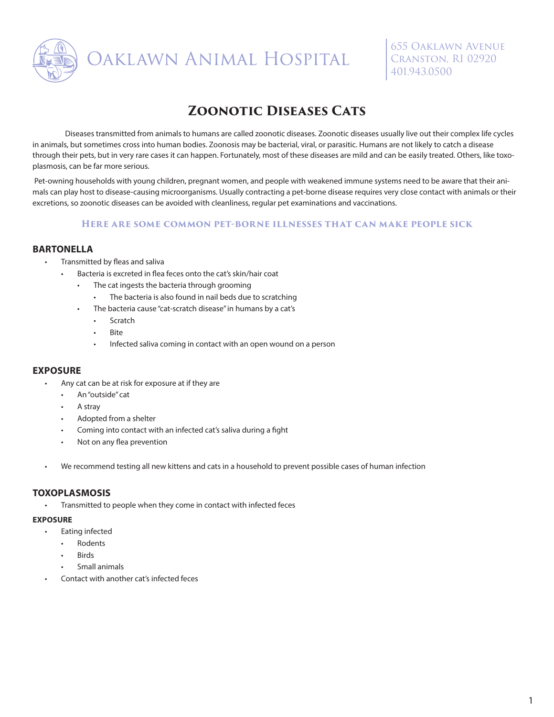

**DAKLAWN ANIMAL HOSPITAL** 

655 Oaklawn Avenue Cranston, RI 02920 401.943.0500

# **Zoonotic Diseases Cats**

Diseases transmitted from animals to humans are called zoonotic diseases. Zoonotic diseases usually live out their complex life cycles in animals, but sometimes cross into human bodies. Zoonosis may be bacterial, viral, or parasitic. Humans are not likely to catch a disease through their pets, but in very rare cases it can happen. Fortunately, most of these diseases are mild and can be easily treated. Others, like toxoplasmosis, can be far more serious.

 Pet-owning households with young children, pregnant women, and people with weakened immune systems need to be aware that their animals can play host to disease-causing microorganisms. Usually contracting a pet-borne disease requires very close contact with animals or their excretions, so zoonotic diseases can be avoided with cleanliness, regular pet examinations and vaccinations.

#### **Here are some common pet-borne illnesses that can make people sick**

## **BARTONELLA**

- Transmitted by fleas and saliva
	- Bacteria is excreted in flea feces onto the cat's skin/hair coat
		- The cat ingests the bacteria through grooming
		- The bacteria is also found in nail beds due to scratching
		- The bacteria cause "cat-scratch disease" in humans by a cat's
			- **Scratch**
			- **Bite**
			- Infected saliva coming in contact with an open wound on a person

## **EXPOSURE**

- Any cat can be at risk for exposure at if they are
	- An "outside" cat
	- A stray
	- Adopted from a shelter
	- Coming into contact with an infected cat's saliva during a fight
	- Not on any flea prevention
- We recommend testing all new kittens and cats in a household to prevent possible cases of human infection

#### **TOXOPLASMOSIS**

• Transmitted to people when they come in contact with infected feces

#### **EXPOSURE**

- Eating infected
	- Rodents
	- **Birds**
	- Small animals
- Contact with another cat's infected feces